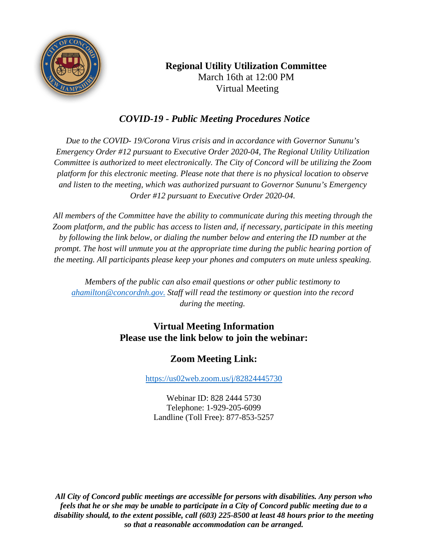

# **Regional Utility Utilization Committee** March 16th at 12:00 PM Virtual Meeting

## *COVID-19 - Public Meeting Procedures Notice*

*Due to the COVID- 19/Corona Virus crisis and in accordance with Governor Sununu's Emergency Order #12 pursuant to Executive Order 2020-04, The Regional Utility Utilization Committee is authorized to meet electronically. The City of Concord will be utilizing the Zoom platform for this electronic meeting. Please note that there is no physical location to observe and listen to the meeting, which was authorized pursuant to Governor Sununu's Emergency Order #12 pursuant to Executive Order 2020-04.*

*All members of the Committee have the ability to communicate during this meeting through the Zoom platform, and the public has access to listen and, if necessary, participate in this meeting by following the link below, or dialing the number below and entering the ID number at the prompt. The host will unmute you at the appropriate time during the public hearing portion of the meeting. All participants please keep your phones and computers on mute unless speaking.*

*Members of the public can also email questions or other public testimony to [ahamilton@concordnh.gov.](mailto:ahamilton@concordnh.gov.) Staff will read the testimony or question into the record during the meeting.*

### **Virtual Meeting Information Please use the link below to join the webinar:**

## **Zoom Meeting Link:**

<https://us02web.zoom.us/j/82824445730>

Webinar ID: 828 2444 5730 Telephone: 1-929-205-6099 Landline (Toll Free): 877-853-5257

*All City of Concord public meetings are accessible for persons with disabilities. Any person who feels that he or she may be unable to participate in a City of Concord public meeting due to a disability should, to the extent possible, call (603) 225-8500 at least 48 hours prior to the meeting so that a reasonable accommodation can be arranged.*